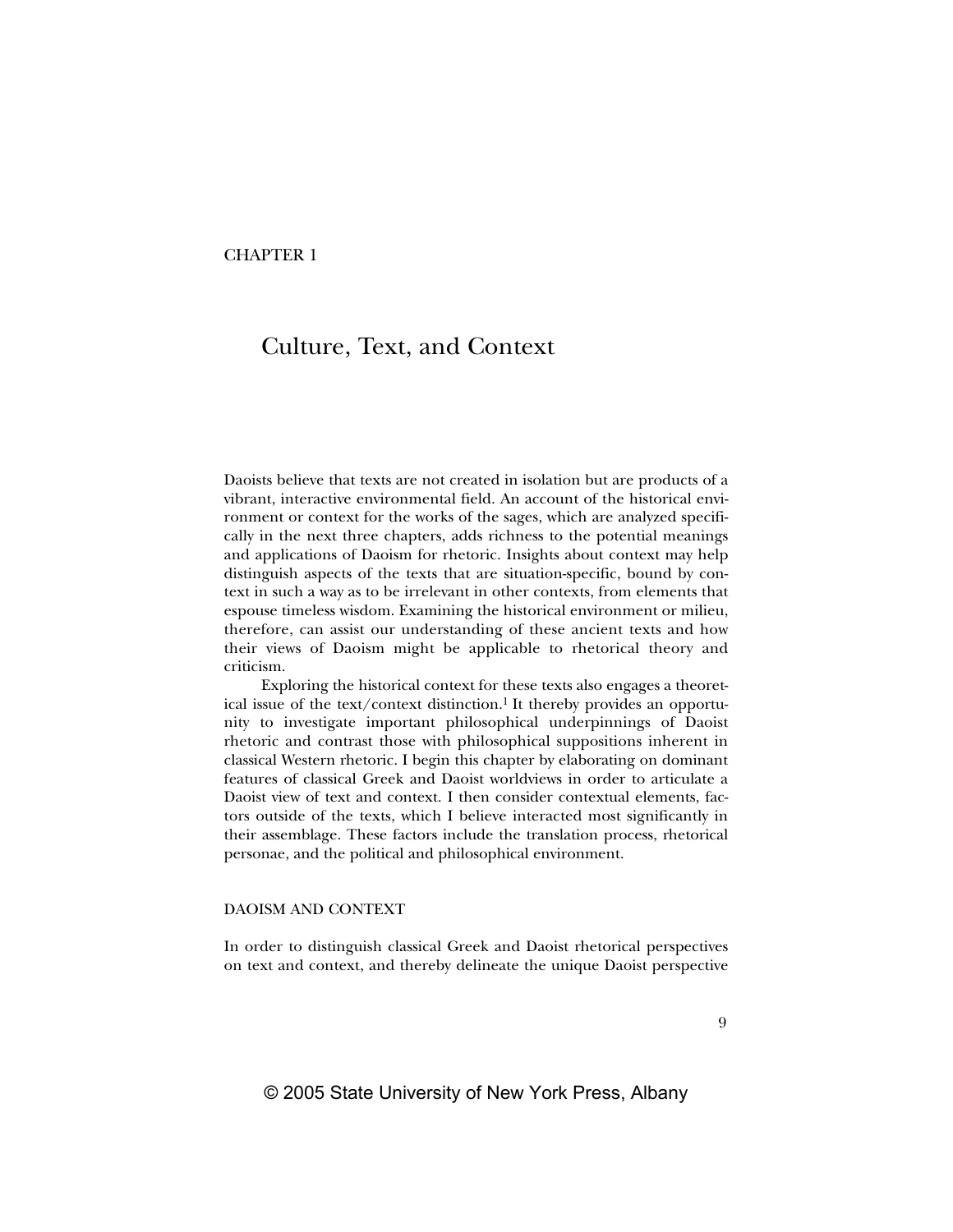## CHAPTER 1

# Culture, Text, and Context

Daoists believe that texts are not created in isolation but are products of a vibrant, interactive environmental field. An account of the historical environment or context for the works of the sages, which are analyzed specifically in the next three chapters, adds richness to the potential meanings and applications of Daoism for rhetoric. Insights about context may help distinguish aspects of the texts that are situation-specific, bound by context in such a way as to be irrelevant in other contexts, from elements that espouse timeless wisdom. Examining the historical environment or milieu, therefore, can assist our understanding of these ancient texts and how their views of Daoism might be applicable to rhetorical theory and criticism.

Exploring the historical context for these texts also engages a theoretical issue of the text/context distinction.<sup>1</sup> It thereby provides an opportunity to investigate important philosophical underpinnings of Daoist rhetoric and contrast those with philosophical suppositions inherent in classical Western rhetoric. I begin this chapter by elaborating on dominant features of classical Greek and Daoist worldviews in order to articulate a Daoist view of text and context. I then consider contextual elements, factors outside of the texts, which I believe interacted most significantly in their assemblage. These factors include the translation process, rhetorical personae, and the political and philosophical environment.

## DAOISM AND CONTEXT

In order to distinguish classical Greek and Daoist rhetorical perspectives on text and context, and thereby delineate the unique Daoist perspective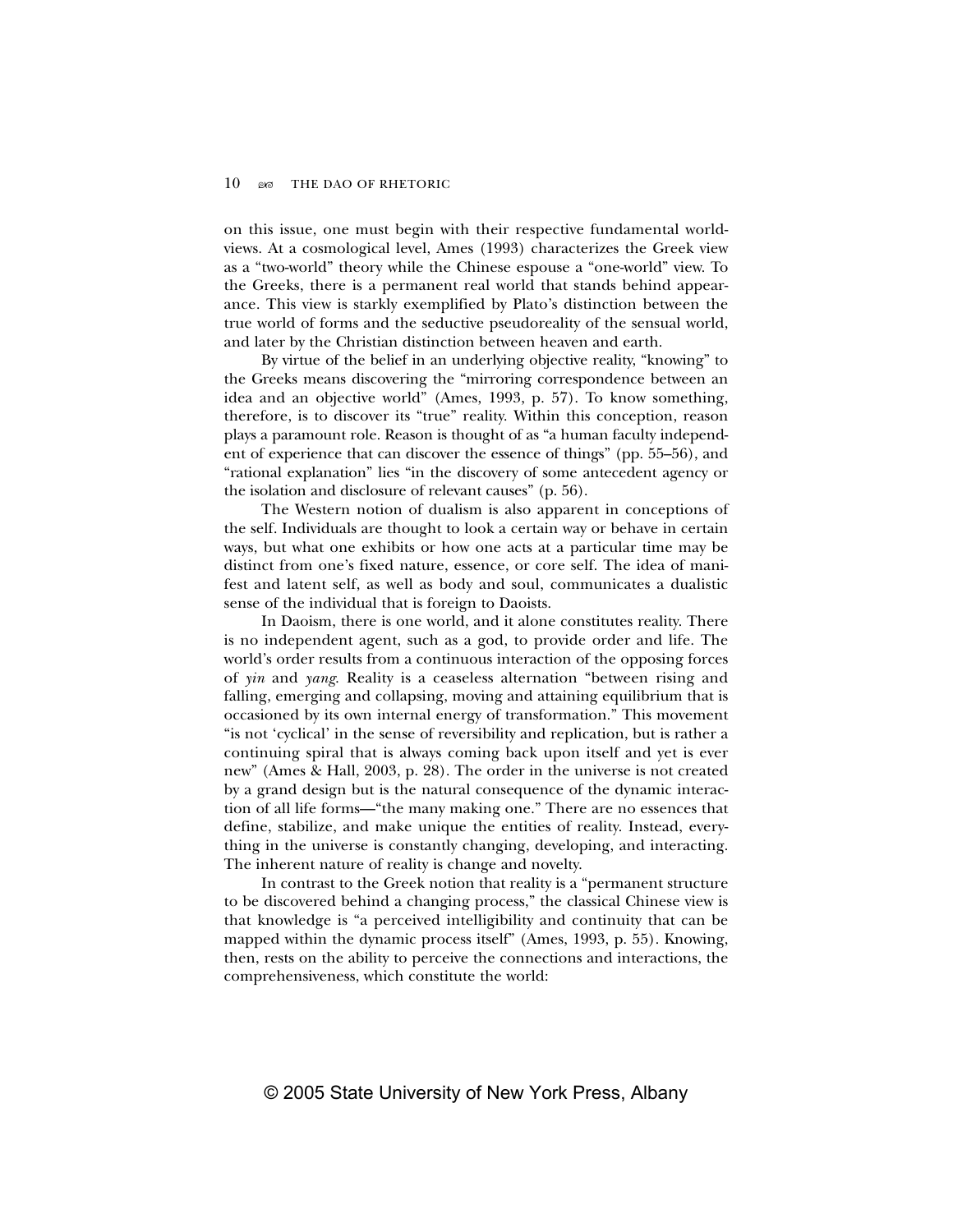on this issue, one must begin with their respective fundamental worldviews. At a cosmological level, Ames (1993) characterizes the Greek view as a "two-world" theory while the Chinese espouse a "one-world" view. To the Greeks, there is a permanent real world that stands behind appearance. This view is starkly exemplified by Plato's distinction between the true world of forms and the seductive pseudoreality of the sensual world, and later by the Christian distinction between heaven and earth.

By virtue of the belief in an underlying objective reality, "knowing" to the Greeks means discovering the "mirroring correspondence between an idea and an objective world" (Ames, 1993, p. 57). To know something, therefore, is to discover its "true" reality. Within this conception, reason plays a paramount role. Reason is thought of as "a human faculty independent of experience that can discover the essence of things" (pp. 55–56), and "rational explanation" lies "in the discovery of some antecedent agency or the isolation and disclosure of relevant causes" (p. 56).

The Western notion of dualism is also apparent in conceptions of the self. Individuals are thought to look a certain way or behave in certain ways, but what one exhibits or how one acts at a particular time may be distinct from one's fixed nature, essence, or core self. The idea of manifest and latent self, as well as body and soul, communicates a dualistic sense of the individual that is foreign to Daoists.

In Daoism, there is one world, and it alone constitutes reality. There is no independent agent, such as a god, to provide order and life. The world's order results from a continuous interaction of the opposing forces of *yin* and *yang*. Reality is a ceaseless alternation "between rising and falling, emerging and collapsing, moving and attaining equilibrium that is occasioned by its own internal energy of transformation." This movement "is not 'cyclical' in the sense of reversibility and replication, but is rather a continuing spiral that is always coming back upon itself and yet is ever new" (Ames & Hall, 2003, p. 28). The order in the universe is not created by a grand design but is the natural consequence of the dynamic interaction of all life forms—"the many making one." There are no essences that define, stabilize, and make unique the entities of reality. Instead, everything in the universe is constantly changing, developing, and interacting. The inherent nature of reality is change and novelty.

In contrast to the Greek notion that reality is a "permanent structure to be discovered behind a changing process," the classical Chinese view is that knowledge is "a perceived intelligibility and continuity that can be mapped within the dynamic process itself" (Ames, 1993, p. 55). Knowing, then, rests on the ability to perceive the connections and interactions, the comprehensiveness, which constitute the world: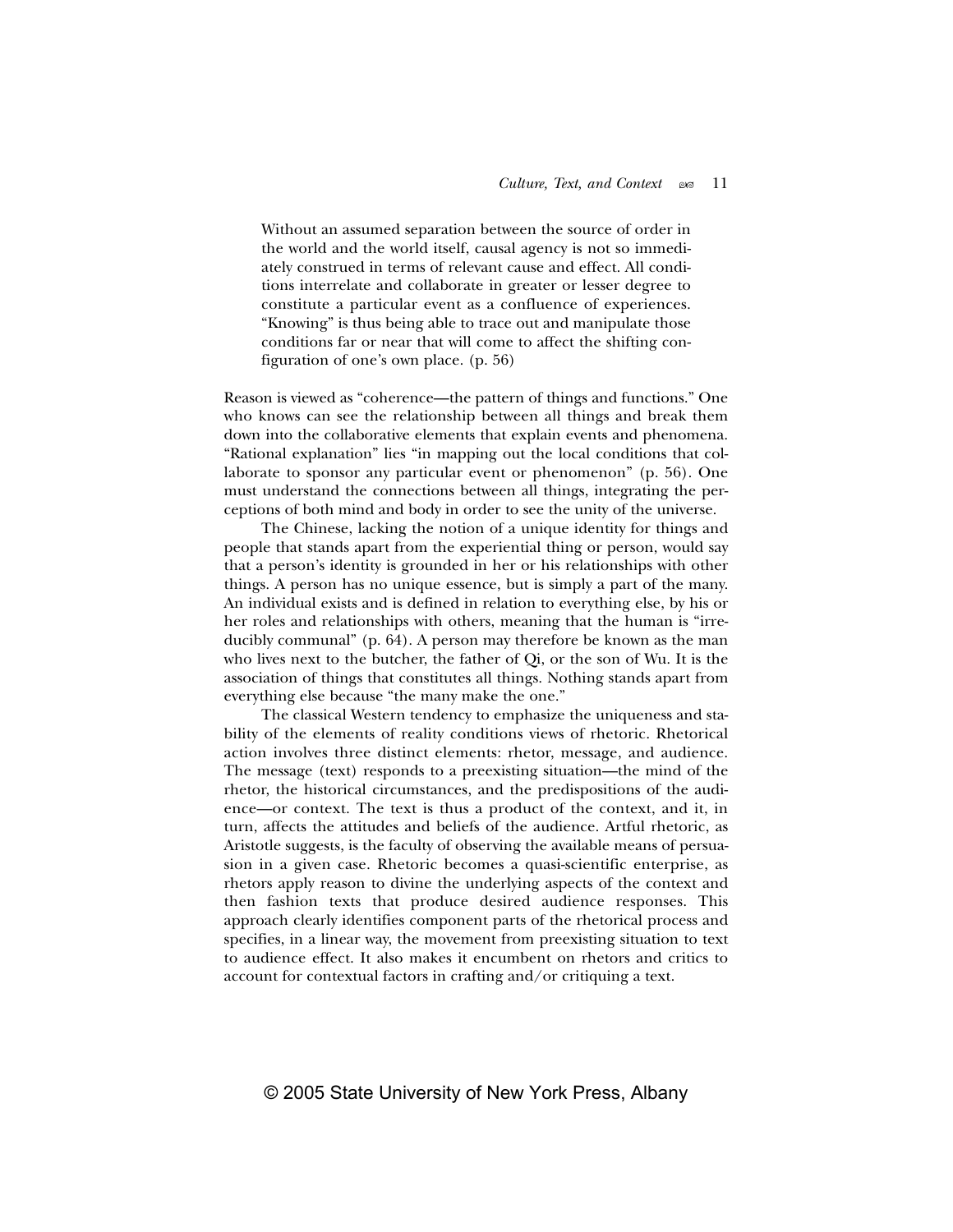Without an assumed separation between the source of order in the world and the world itself, causal agency is not so immediately construed in terms of relevant cause and effect. All conditions interrelate and collaborate in greater or lesser degree to constitute a particular event as a confluence of experiences. "Knowing" is thus being able to trace out and manipulate those conditions far or near that will come to affect the shifting configuration of one's own place. (p. 56)

Reason is viewed as "coherence—the pattern of things and functions." One who knows can see the relationship between all things and break them down into the collaborative elements that explain events and phenomena. "Rational explanation" lies "in mapping out the local conditions that collaborate to sponsor any particular event or phenomenon" (p. 56). One must understand the connections between all things, integrating the perceptions of both mind and body in order to see the unity of the universe.

The Chinese, lacking the notion of a unique identity for things and people that stands apart from the experiential thing or person, would say that a person's identity is grounded in her or his relationships with other things. A person has no unique essence, but is simply a part of the many. An individual exists and is defined in relation to everything else, by his or her roles and relationships with others, meaning that the human is "irreducibly communal" (p. 64). A person may therefore be known as the man who lives next to the butcher, the father of Qi, or the son of Wu. It is the association of things that constitutes all things. Nothing stands apart from everything else because "the many make the one."

The classical Western tendency to emphasize the uniqueness and stability of the elements of reality conditions views of rhetoric. Rhetorical action involves three distinct elements: rhetor, message, and audience. The message (text) responds to a preexisting situation—the mind of the rhetor, the historical circumstances, and the predispositions of the audience—or context. The text is thus a product of the context, and it, in turn, affects the attitudes and beliefs of the audience. Artful rhetoric, as Aristotle suggests, is the faculty of observing the available means of persuasion in a given case. Rhetoric becomes a quasi-scientific enterprise, as rhetors apply reason to divine the underlying aspects of the context and then fashion texts that produce desired audience responses. This approach clearly identifies component parts of the rhetorical process and specifies, in a linear way, the movement from preexisting situation to text to audience effect. It also makes it encumbent on rhetors and critics to account for contextual factors in crafting and/or critiquing a text.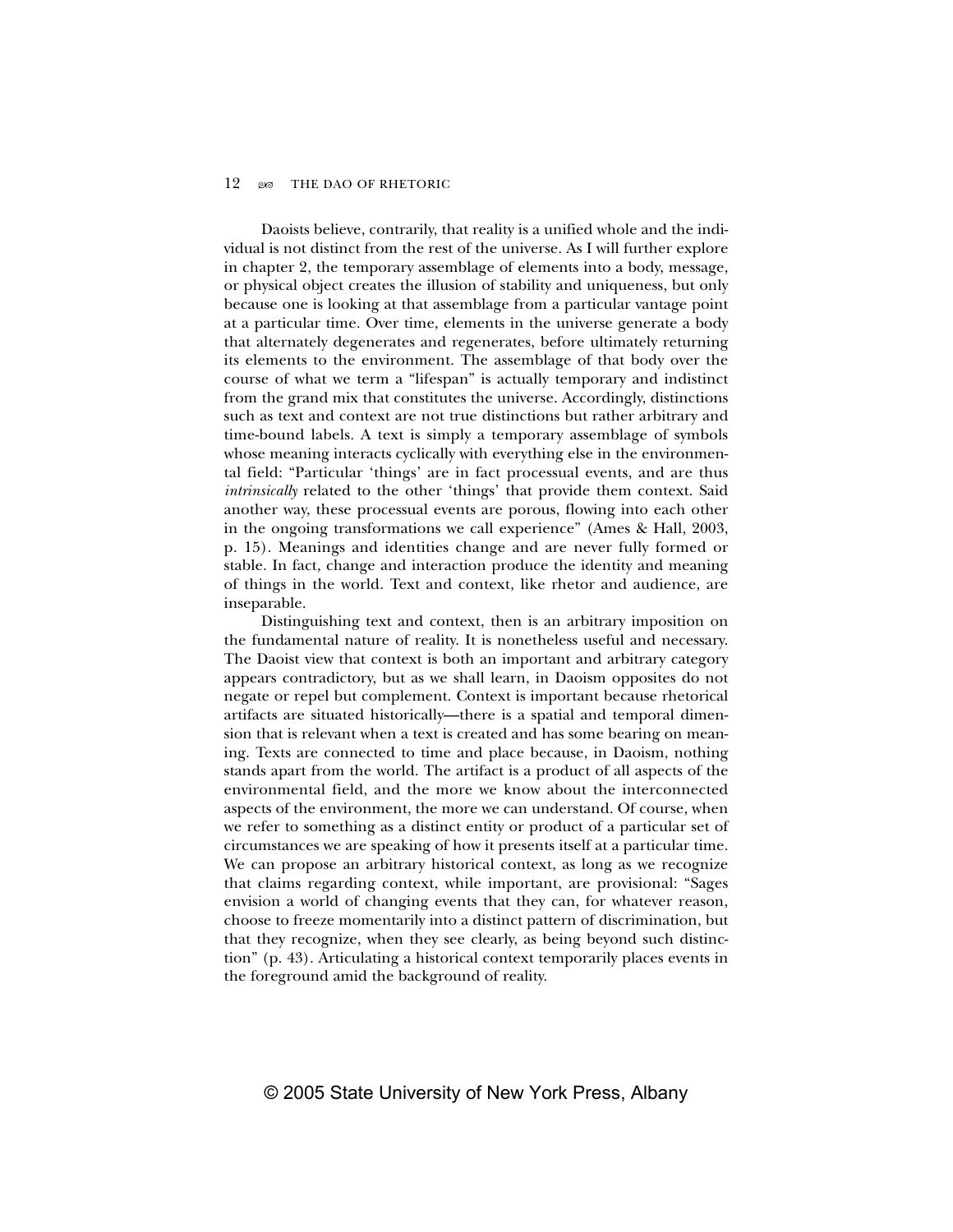#### 12 ex THE DAO OF RHETORIC

Daoists believe, contrarily, that reality is a unified whole and the individual is not distinct from the rest of the universe. As I will further explore in chapter 2, the temporary assemblage of elements into a body, message, or physical object creates the illusion of stability and uniqueness, but only because one is looking at that assemblage from a particular vantage point at a particular time. Over time, elements in the universe generate a body that alternately degenerates and regenerates, before ultimately returning its elements to the environment. The assemblage of that body over the course of what we term a "lifespan" is actually temporary and indistinct from the grand mix that constitutes the universe. Accordingly, distinctions such as text and context are not true distinctions but rather arbitrary and time-bound labels. A text is simply a temporary assemblage of symbols whose meaning interacts cyclically with everything else in the environmental field: "Particular 'things' are in fact processual events, and are thus *intrinsically* related to the other 'things' that provide them context. Said another way, these processual events are porous, flowing into each other in the ongoing transformations we call experience" (Ames & Hall, 2003, p. 15). Meanings and identities change and are never fully formed or stable. In fact, change and interaction produce the identity and meaning of things in the world. Text and context, like rhetor and audience, are inseparable.

Distinguishing text and context, then is an arbitrary imposition on the fundamental nature of reality. It is nonetheless useful and necessary. The Daoist view that context is both an important and arbitrary category appears contradictory, but as we shall learn, in Daoism opposites do not negate or repel but complement. Context is important because rhetorical artifacts are situated historically—there is a spatial and temporal dimension that is relevant when a text is created and has some bearing on meaning. Texts are connected to time and place because, in Daoism, nothing stands apart from the world. The artifact is a product of all aspects of the environmental field, and the more we know about the interconnected aspects of the environment, the more we can understand. Of course, when we refer to something as a distinct entity or product of a particular set of circumstances we are speaking of how it presents itself at a particular time. We can propose an arbitrary historical context, as long as we recognize that claims regarding context, while important, are provisional: "Sages envision a world of changing events that they can, for whatever reason, choose to freeze momentarily into a distinct pattern of discrimination, but that they recognize, when they see clearly, as being beyond such distinction" (p. 43). Articulating a historical context temporarily places events in the foreground amid the background of reality.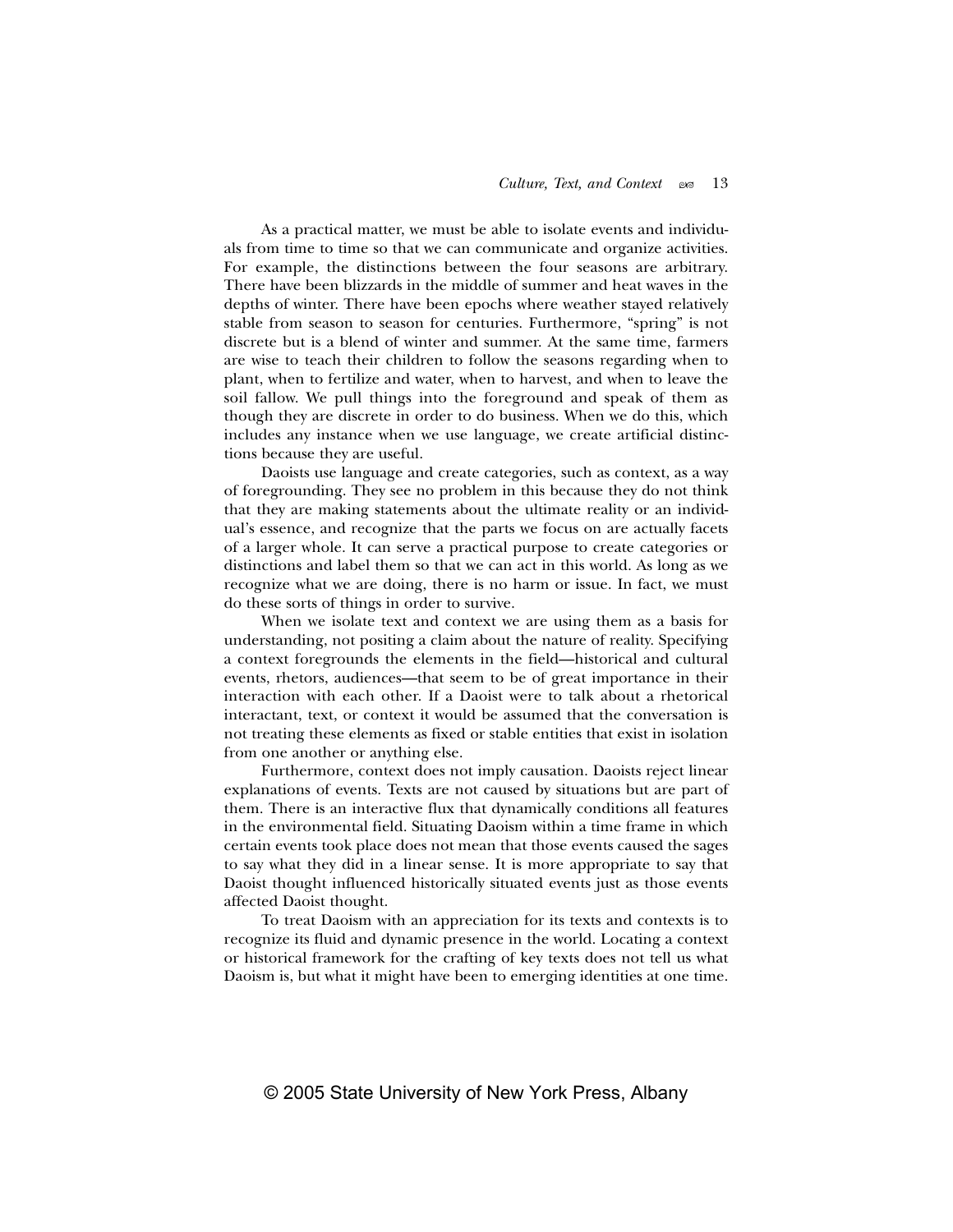As a practical matter, we must be able to isolate events and individuals from time to time so that we can communicate and organize activities. For example, the distinctions between the four seasons are arbitrary. There have been blizzards in the middle of summer and heat waves in the depths of winter. There have been epochs where weather stayed relatively stable from season to season for centuries. Furthermore, "spring" is not discrete but is a blend of winter and summer. At the same time, farmers are wise to teach their children to follow the seasons regarding when to plant, when to fertilize and water, when to harvest, and when to leave the soil fallow. We pull things into the foreground and speak of them as though they are discrete in order to do business. When we do this, which includes any instance when we use language, we create artificial distinctions because they are useful.

Daoists use language and create categories, such as context, as a way of foregrounding. They see no problem in this because they do not think that they are making statements about the ultimate reality or an individual's essence, and recognize that the parts we focus on are actually facets of a larger whole. It can serve a practical purpose to create categories or distinctions and label them so that we can act in this world. As long as we recognize what we are doing, there is no harm or issue. In fact, we must do these sorts of things in order to survive.

When we isolate text and context we are using them as a basis for understanding, not positing a claim about the nature of reality. Specifying a context foregrounds the elements in the field—historical and cultural events, rhetors, audiences—that seem to be of great importance in their interaction with each other. If a Daoist were to talk about a rhetorical interactant, text, or context it would be assumed that the conversation is not treating these elements as fixed or stable entities that exist in isolation from one another or anything else.

Furthermore, context does not imply causation. Daoists reject linear explanations of events. Texts are not caused by situations but are part of them. There is an interactive flux that dynamically conditions all features in the environmental field. Situating Daoism within a time frame in which certain events took place does not mean that those events caused the sages to say what they did in a linear sense. It is more appropriate to say that Daoist thought influenced historically situated events just as those events affected Daoist thought.

To treat Daoism with an appreciation for its texts and contexts is to recognize its fluid and dynamic presence in the world. Locating a context or historical framework for the crafting of key texts does not tell us what Daoism is, but what it might have been to emerging identities at one time.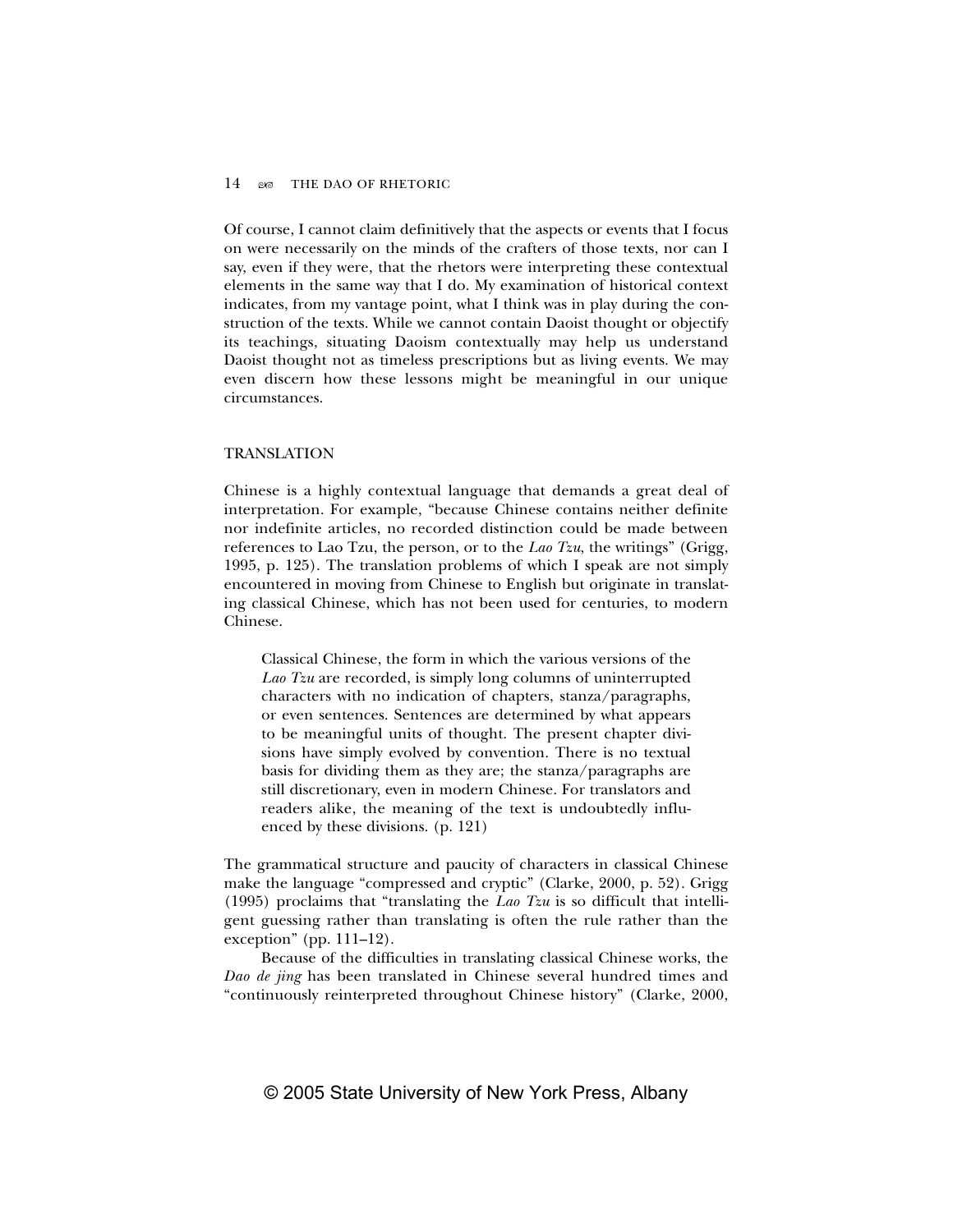#### 14 ex THE DAO OF RHETORIC

Of course, I cannot claim definitively that the aspects or events that I focus on were necessarily on the minds of the crafters of those texts, nor can I say, even if they were, that the rhetors were interpreting these contextual elements in the same way that I do. My examination of historical context indicates, from my vantage point, what I think was in play during the construction of the texts. While we cannot contain Daoist thought or objectify its teachings, situating Daoism contextually may help us understand Daoist thought not as timeless prescriptions but as living events. We may even discern how these lessons might be meaningful in our unique circumstances.

## TRANSLATION

Chinese is a highly contextual language that demands a great deal of interpretation. For example, "because Chinese contains neither definite nor indefinite articles, no recorded distinction could be made between references to Lao Tzu, the person, or to the *Lao Tzu*, the writings" (Grigg, 1995, p. 125). The translation problems of which I speak are not simply encountered in moving from Chinese to English but originate in translating classical Chinese, which has not been used for centuries, to modern Chinese.

Classical Chinese, the form in which the various versions of the *Lao Tzu* are recorded, is simply long columns of uninterrupted characters with no indication of chapters, stanza/paragraphs, or even sentences. Sentences are determined by what appears to be meaningful units of thought. The present chapter divisions have simply evolved by convention. There is no textual basis for dividing them as they are; the stanza/paragraphs are still discretionary, even in modern Chinese. For translators and readers alike, the meaning of the text is undoubtedly influenced by these divisions. (p. 121)

The grammatical structure and paucity of characters in classical Chinese make the language "compressed and cryptic" (Clarke, 2000, p. 52). Grigg (1995) proclaims that "translating the *Lao Tzu* is so difficult that intelligent guessing rather than translating is often the rule rather than the exception" (pp. 111–12).

Because of the difficulties in translating classical Chinese works, the *Dao de jing* has been translated in Chinese several hundred times and "continuously reinterpreted throughout Chinese history" (Clarke, 2000,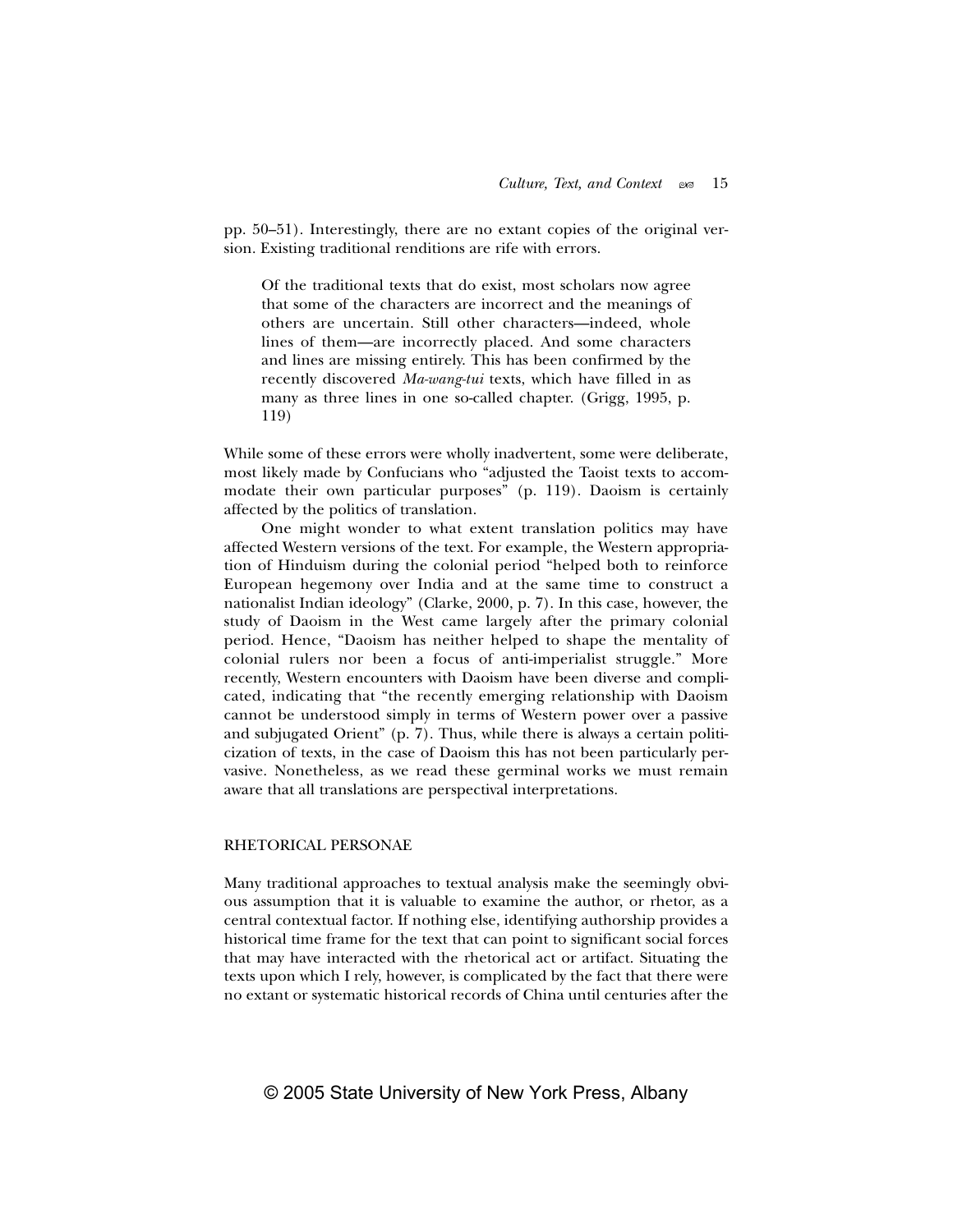pp. 50–51). Interestingly, there are no extant copies of the original version. Existing traditional renditions are rife with errors.

Of the traditional texts that do exist, most scholars now agree that some of the characters are incorrect and the meanings of others are uncertain. Still other characters—indeed, whole lines of them—are incorrectly placed. And some characters and lines are missing entirely. This has been confirmed by the recently discovered *Ma-wang-tui* texts, which have filled in as many as three lines in one so-called chapter. (Grigg, 1995, p. 119)

While some of these errors were wholly inadvertent, some were deliberate, most likely made by Confucians who "adjusted the Taoist texts to accommodate their own particular purposes" (p. 119). Daoism is certainly affected by the politics of translation.

One might wonder to what extent translation politics may have affected Western versions of the text. For example, the Western appropriation of Hinduism during the colonial period "helped both to reinforce European hegemony over India and at the same time to construct a nationalist Indian ideology" (Clarke, 2000, p. 7). In this case, however, the study of Daoism in the West came largely after the primary colonial period. Hence, "Daoism has neither helped to shape the mentality of colonial rulers nor been a focus of anti-imperialist struggle." More recently, Western encounters with Daoism have been diverse and complicated, indicating that "the recently emerging relationship with Daoism cannot be understood simply in terms of Western power over a passive and subjugated Orient" (p. 7). Thus, while there is always a certain politicization of texts, in the case of Daoism this has not been particularly pervasive. Nonetheless, as we read these germinal works we must remain aware that all translations are perspectival interpretations.

#### RHETORICAL PERSONAE

Many traditional approaches to textual analysis make the seemingly obvious assumption that it is valuable to examine the author, or rhetor, as a central contextual factor. If nothing else, identifying authorship provides a historical time frame for the text that can point to significant social forces that may have interacted with the rhetorical act or artifact. Situating the texts upon which I rely, however, is complicated by the fact that there were no extant or systematic historical records of China until centuries after the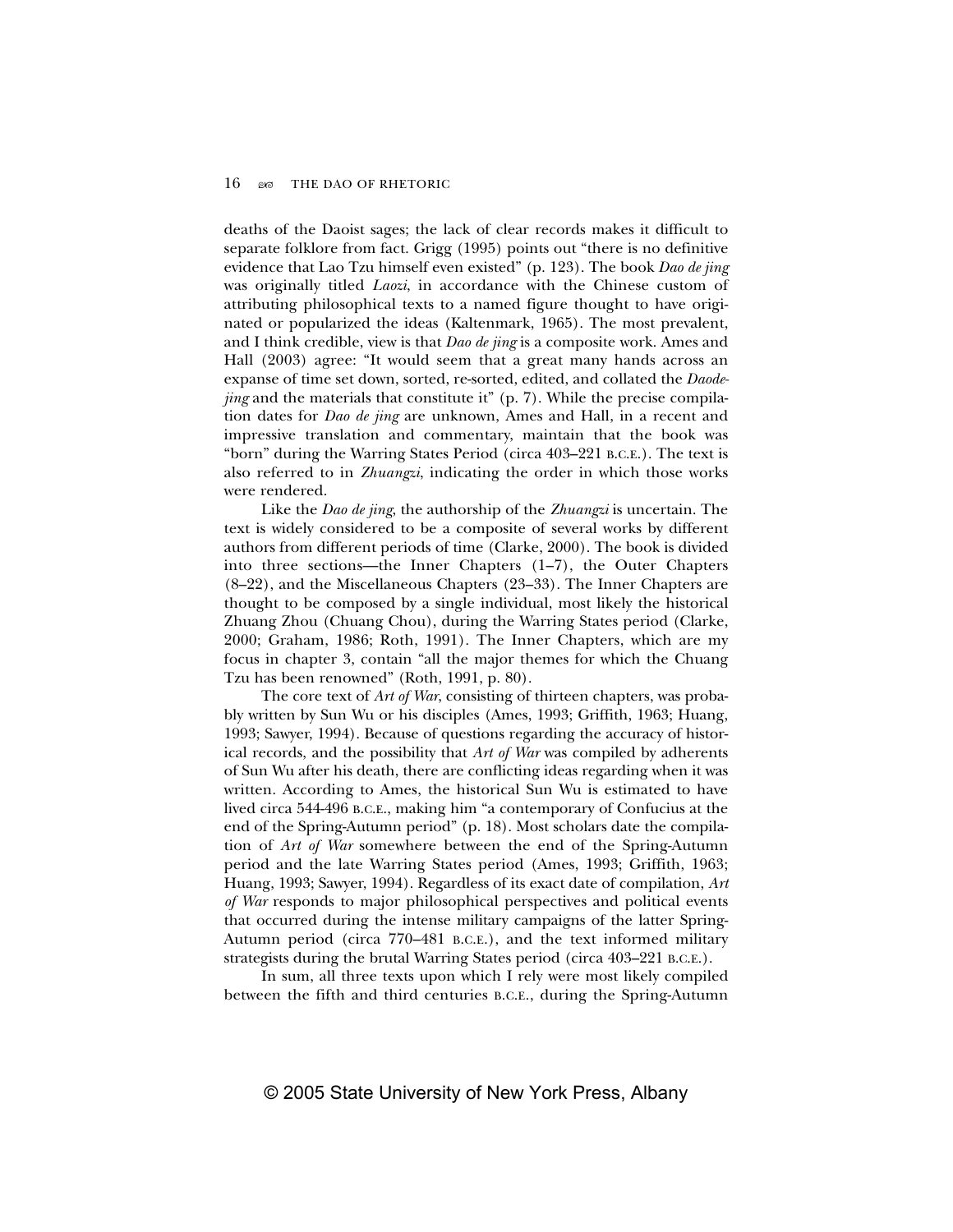deaths of the Daoist sages; the lack of clear records makes it difficult to separate folklore from fact. Grigg (1995) points out "there is no definitive evidence that Lao Tzu himself even existed" (p. 123). The book *Dao de jing* was originally titled *Laozi*, in accordance with the Chinese custom of attributing philosophical texts to a named figure thought to have originated or popularized the ideas (Kaltenmark, 1965). The most prevalent, and I think credible, view is that *Dao de jing* is a composite work. Ames and Hall (2003) agree: "It would seem that a great many hands across an expanse of time set down, sorted, re-sorted, edited, and collated the *Daodejing* and the materials that constitute it" (p. 7). While the precise compilation dates for *Dao de jing* are unknown, Ames and Hall, in a recent and impressive translation and commentary, maintain that the book was "born" during the Warring States Period (circa 403–221 B.C.E.). The text is also referred to in *Zhuangzi*, indicating the order in which those works were rendered.

Like the *Dao de jing*, the authorship of the *Zhuangzi* is uncertain. The text is widely considered to be a composite of several works by different authors from different periods of time (Clarke, 2000). The book is divided into three sections—the Inner Chapters (1–7), the Outer Chapters (8–22), and the Miscellaneous Chapters (23–33). The Inner Chapters are thought to be composed by a single individual, most likely the historical Zhuang Zhou (Chuang Chou), during the Warring States period (Clarke, 2000; Graham, 1986; Roth, 1991). The Inner Chapters, which are my focus in chapter 3, contain "all the major themes for which the Chuang Tzu has been renowned" (Roth, 1991, p. 80).

The core text of *Art of War*, consisting of thirteen chapters, was probably written by Sun Wu or his disciples (Ames, 1993; Griffith, 1963; Huang, 1993; Sawyer, 1994). Because of questions regarding the accuracy of historical records, and the possibility that *Art of War* was compiled by adherents of Sun Wu after his death, there are conflicting ideas regarding when it was written. According to Ames, the historical Sun Wu is estimated to have lived circa 544-496 B.C.E., making him "a contemporary of Confucius at the end of the Spring-Autumn period" (p. 18). Most scholars date the compilation of *Art of War* somewhere between the end of the Spring-Autumn period and the late Warring States period (Ames, 1993; Griffith, 1963; Huang, 1993; Sawyer, 1994). Regardless of its exact date of compilation, *Art of War* responds to major philosophical perspectives and political events that occurred during the intense military campaigns of the latter Spring-Autumn period (circa 770–481 B.C.E.), and the text informed military strategists during the brutal Warring States period (circa 403–221 B.C.E.).

In sum, all three texts upon which I rely were most likely compiled between the fifth and third centuries B.C.E., during the Spring-Autumn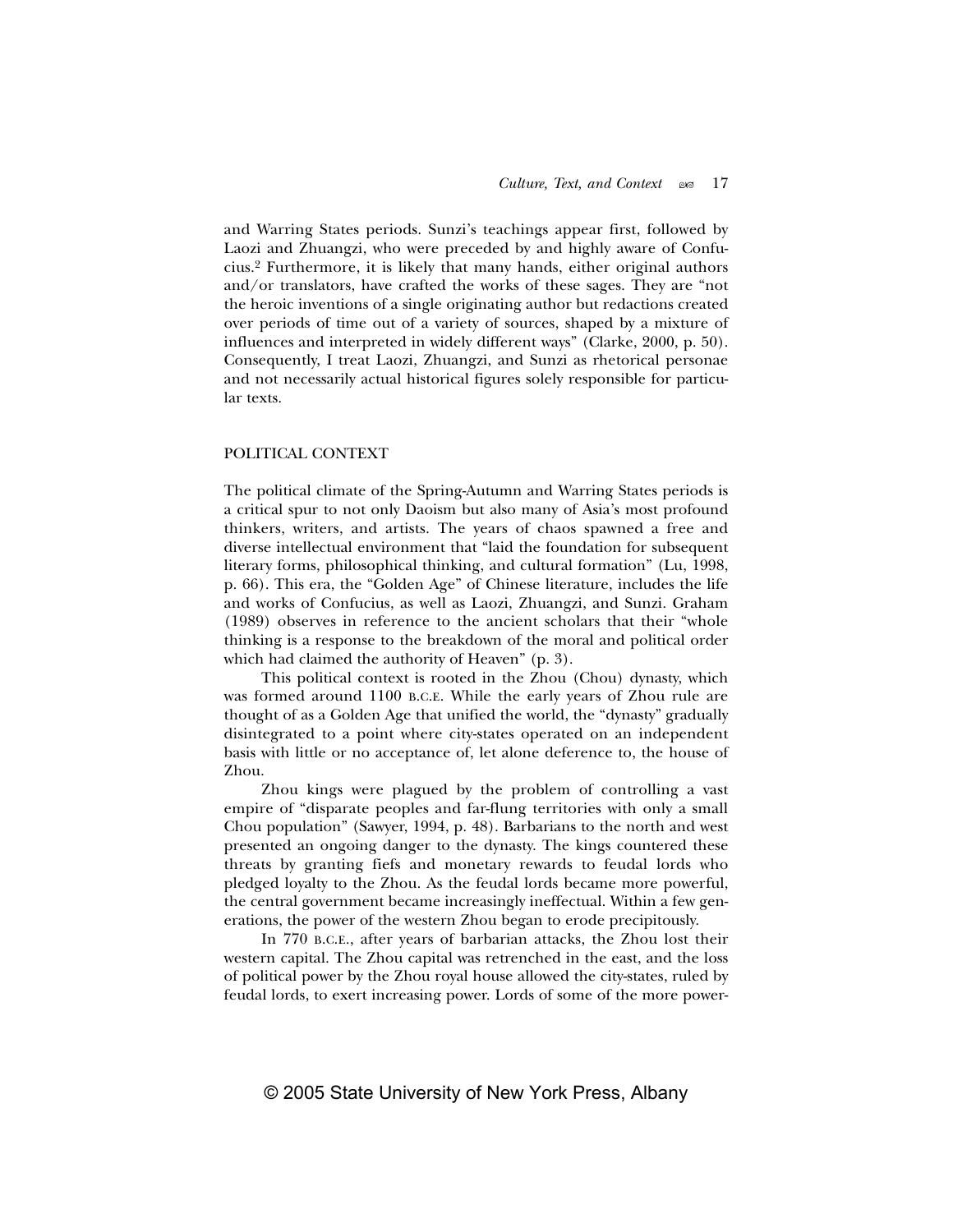and Warring States periods. Sunzi's teachings appear first, followed by Laozi and Zhuangzi, who were preceded by and highly aware of Confucius.2 Furthermore, it is likely that many hands, either original authors and/or translators, have crafted the works of these sages. They are "not the heroic inventions of a single originating author but redactions created over periods of time out of a variety of sources, shaped by a mixture of influences and interpreted in widely different ways" (Clarke, 2000, p. 50). Consequently, I treat Laozi, Zhuangzi, and Sunzi as rhetorical personae and not necessarily actual historical figures solely responsible for particular texts.

## POLITICAL CONTEXT

The political climate of the Spring-Autumn and Warring States periods is a critical spur to not only Daoism but also many of Asia's most profound thinkers, writers, and artists. The years of chaos spawned a free and diverse intellectual environment that "laid the foundation for subsequent literary forms, philosophical thinking, and cultural formation" (Lu, 1998, p. 66). This era, the "Golden Age" of Chinese literature, includes the life and works of Confucius, as well as Laozi, Zhuangzi, and Sunzi. Graham (1989) observes in reference to the ancient scholars that their "whole thinking is a response to the breakdown of the moral and political order which had claimed the authority of Heaven" (p. 3).

This political context is rooted in the Zhou (Chou) dynasty, which was formed around 1100 B.C.E. While the early years of Zhou rule are thought of as a Golden Age that unified the world, the "dynasty" gradually disintegrated to a point where city-states operated on an independent basis with little or no acceptance of, let alone deference to, the house of Zhou.

Zhou kings were plagued by the problem of controlling a vast empire of "disparate peoples and far-flung territories with only a small Chou population" (Sawyer, 1994, p. 48). Barbarians to the north and west presented an ongoing danger to the dynasty. The kings countered these threats by granting fiefs and monetary rewards to feudal lords who pledged loyalty to the Zhou. As the feudal lords became more powerful, the central government became increasingly ineffectual. Within a few generations, the power of the western Zhou began to erode precipitously.

In 770 B.C.E., after years of barbarian attacks, the Zhou lost their western capital. The Zhou capital was retrenched in the east, and the loss of political power by the Zhou royal house allowed the city-states, ruled by feudal lords, to exert increasing power. Lords of some of the more power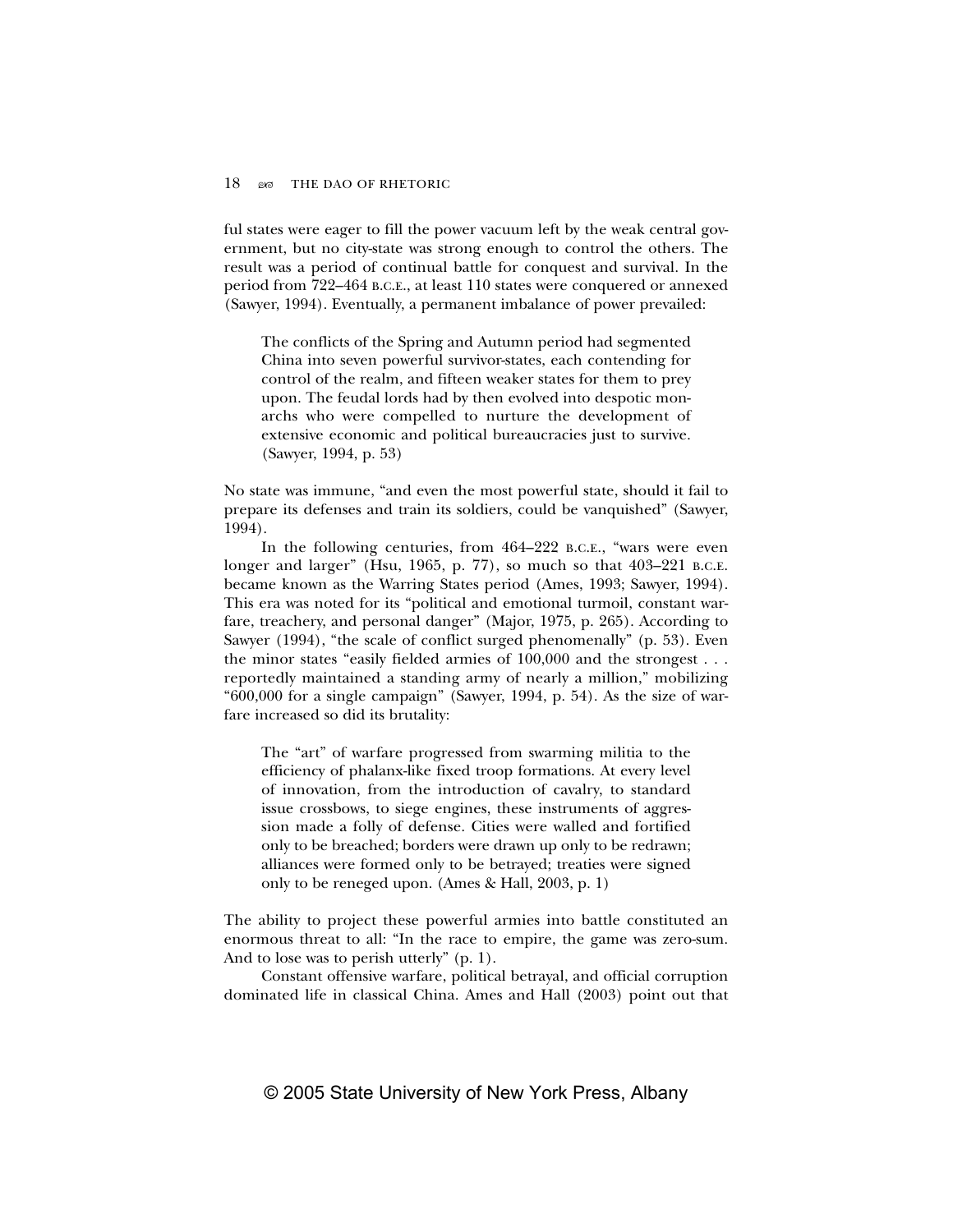ful states were eager to fill the power vacuum left by the weak central government, but no city-state was strong enough to control the others. The result was a period of continual battle for conquest and survival. In the period from 722–464 B.C.E., at least 110 states were conquered or annexed (Sawyer, 1994). Eventually, a permanent imbalance of power prevailed:

The conflicts of the Spring and Autumn period had segmented China into seven powerful survivor-states, each contending for control of the realm, and fifteen weaker states for them to prey upon. The feudal lords had by then evolved into despotic monarchs who were compelled to nurture the development of extensive economic and political bureaucracies just to survive. (Sawyer, 1994, p. 53)

No state was immune, "and even the most powerful state, should it fail to prepare its defenses and train its soldiers, could be vanquished" (Sawyer, 1994).

In the following centuries, from 464–222 B.C.E., "wars were even longer and larger" (Hsu, 1965, p. 77), so much so that 403–221 B.C.E. became known as the Warring States period (Ames, 1993; Sawyer, 1994). This era was noted for its "political and emotional turmoil, constant warfare, treachery, and personal danger" (Major, 1975, p. 265). According to Sawyer (1994), "the scale of conflict surged phenomenally" (p. 53). Even the minor states "easily fielded armies of 100,000 and the strongest . . . reportedly maintained a standing army of nearly a million," mobilizing "600,000 for a single campaign" (Sawyer, 1994, p. 54). As the size of warfare increased so did its brutality:

The "art" of warfare progressed from swarming militia to the efficiency of phalanx-like fixed troop formations. At every level of innovation, from the introduction of cavalry, to standard issue crossbows, to siege engines, these instruments of aggression made a folly of defense. Cities were walled and fortified only to be breached; borders were drawn up only to be redrawn; alliances were formed only to be betrayed; treaties were signed only to be reneged upon. (Ames & Hall, 2003, p. 1)

The ability to project these powerful armies into battle constituted an enormous threat to all: "In the race to empire, the game was zero-sum. And to lose was to perish utterly" (p. 1).

Constant offensive warfare, political betrayal, and official corruption dominated life in classical China. Ames and Hall (2003) point out that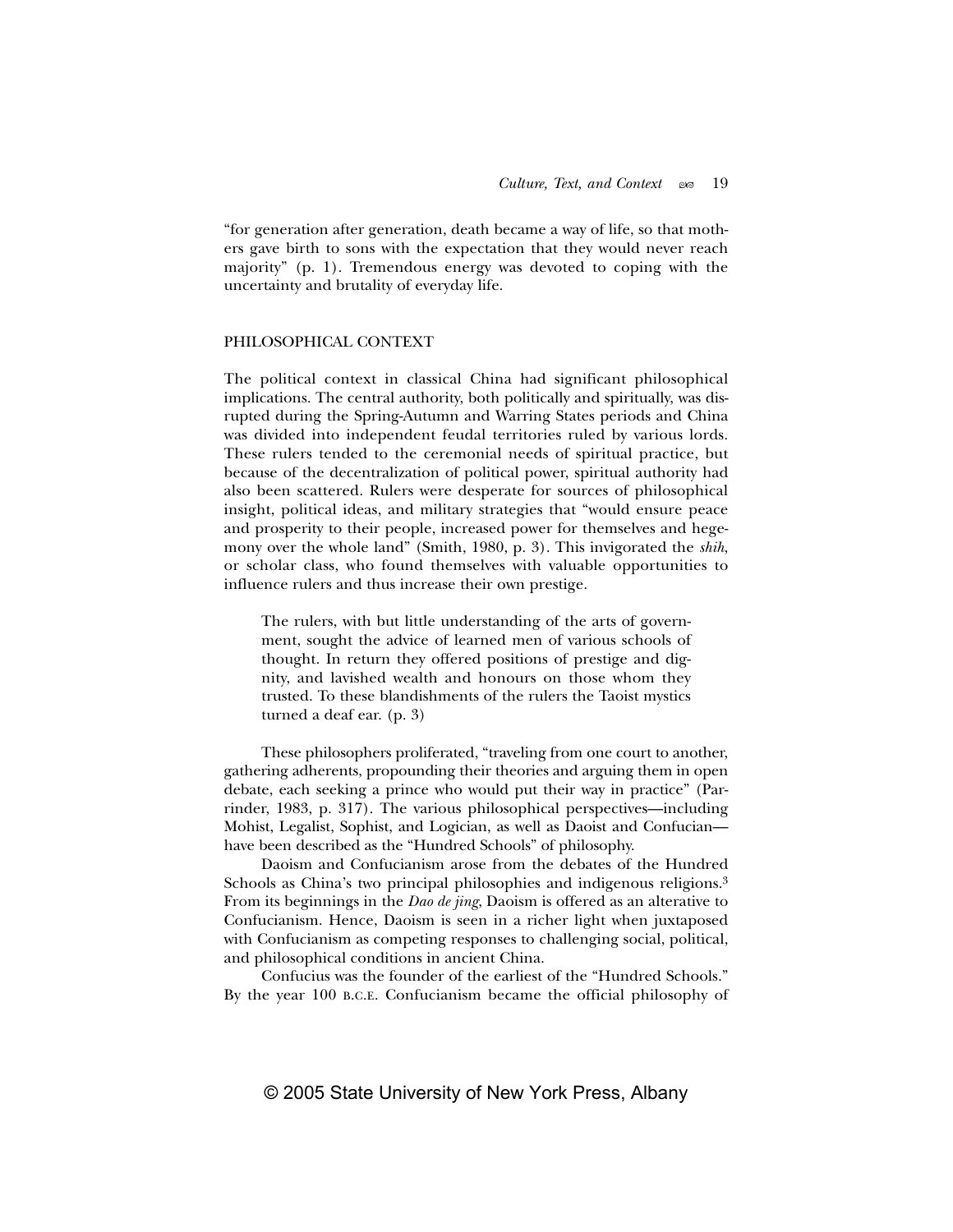"for generation after generation, death became a way of life, so that mothers gave birth to sons with the expectation that they would never reach majority" (p. 1). Tremendous energy was devoted to coping with the uncertainty and brutality of everyday life.

## PHILOSOPHICAL CONTEXT

The political context in classical China had significant philosophical implications. The central authority, both politically and spiritually, was disrupted during the Spring-Autumn and Warring States periods and China was divided into independent feudal territories ruled by various lords. These rulers tended to the ceremonial needs of spiritual practice, but because of the decentralization of political power, spiritual authority had also been scattered. Rulers were desperate for sources of philosophical insight, political ideas, and military strategies that "would ensure peace and prosperity to their people, increased power for themselves and hegemony over the whole land" (Smith, 1980, p. 3). This invigorated the *shih*, or scholar class, who found themselves with valuable opportunities to influence rulers and thus increase their own prestige.

The rulers, with but little understanding of the arts of government, sought the advice of learned men of various schools of thought. In return they offered positions of prestige and dignity, and lavished wealth and honours on those whom they trusted. To these blandishments of the rulers the Taoist mystics turned a deaf ear. (p. 3)

These philosophers proliferated, "traveling from one court to another, gathering adherents, propounding their theories and arguing them in open debate, each seeking a prince who would put their way in practice" (Parrinder, 1983, p. 317). The various philosophical perspectives—including Mohist, Legalist, Sophist, and Logician, as well as Daoist and Confucian have been described as the "Hundred Schools" of philosophy.

Daoism and Confucianism arose from the debates of the Hundred Schools as China's two principal philosophies and indigenous religions.<sup>3</sup> From its beginnings in the *Dao de jing*, Daoism is offered as an alterative to Confucianism. Hence, Daoism is seen in a richer light when juxtaposed with Confucianism as competing responses to challenging social, political, and philosophical conditions in ancient China.

Confucius was the founder of the earliest of the "Hundred Schools." By the year 100 B.C.E. Confucianism became the official philosophy of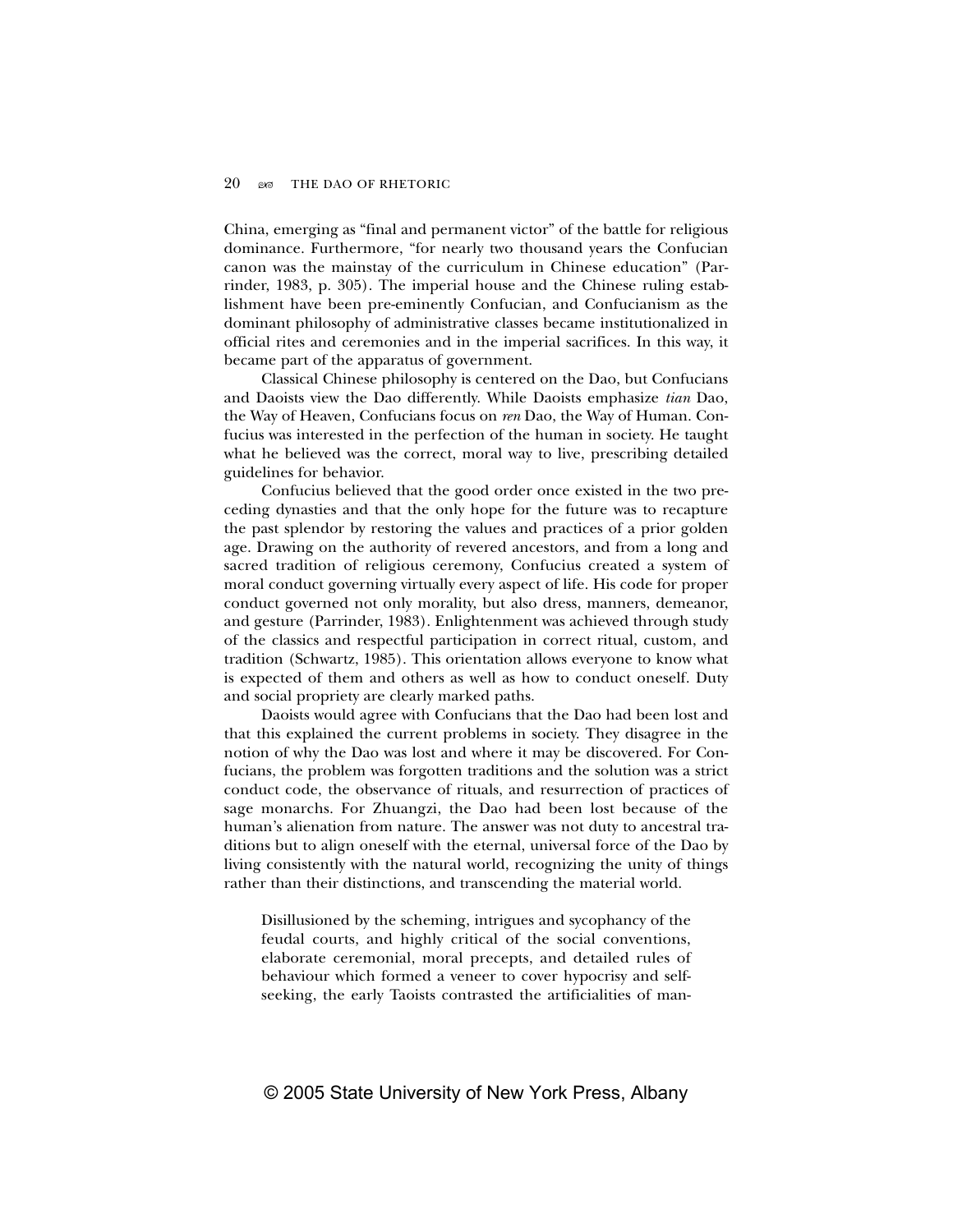China, emerging as "final and permanent victor" of the battle for religious dominance. Furthermore, "for nearly two thousand years the Confucian canon was the mainstay of the curriculum in Chinese education" (Parrinder, 1983, p. 305). The imperial house and the Chinese ruling establishment have been pre-eminently Confucian, and Confucianism as the dominant philosophy of administrative classes became institutionalized in official rites and ceremonies and in the imperial sacrifices. In this way, it became part of the apparatus of government.

Classical Chinese philosophy is centered on the Dao, but Confucians and Daoists view the Dao differently. While Daoists emphasize *tian* Dao, the Way of Heaven, Confucians focus on *ren* Dao, the Way of Human. Confucius was interested in the perfection of the human in society. He taught what he believed was the correct, moral way to live, prescribing detailed guidelines for behavior.

Confucius believed that the good order once existed in the two preceding dynasties and that the only hope for the future was to recapture the past splendor by restoring the values and practices of a prior golden age. Drawing on the authority of revered ancestors, and from a long and sacred tradition of religious ceremony, Confucius created a system of moral conduct governing virtually every aspect of life. His code for proper conduct governed not only morality, but also dress, manners, demeanor, and gesture (Parrinder, 1983). Enlightenment was achieved through study of the classics and respectful participation in correct ritual, custom, and tradition (Schwartz, 1985). This orientation allows everyone to know what is expected of them and others as well as how to conduct oneself. Duty and social propriety are clearly marked paths.

Daoists would agree with Confucians that the Dao had been lost and that this explained the current problems in society. They disagree in the notion of why the Dao was lost and where it may be discovered. For Confucians, the problem was forgotten traditions and the solution was a strict conduct code, the observance of rituals, and resurrection of practices of sage monarchs. For Zhuangzi, the Dao had been lost because of the human's alienation from nature. The answer was not duty to ancestral traditions but to align oneself with the eternal, universal force of the Dao by living consistently with the natural world, recognizing the unity of things rather than their distinctions, and transcending the material world.

Disillusioned by the scheming, intrigues and sycophancy of the feudal courts, and highly critical of the social conventions, elaborate ceremonial, moral precepts, and detailed rules of behaviour which formed a veneer to cover hypocrisy and selfseeking, the early Taoists contrasted the artificialities of man